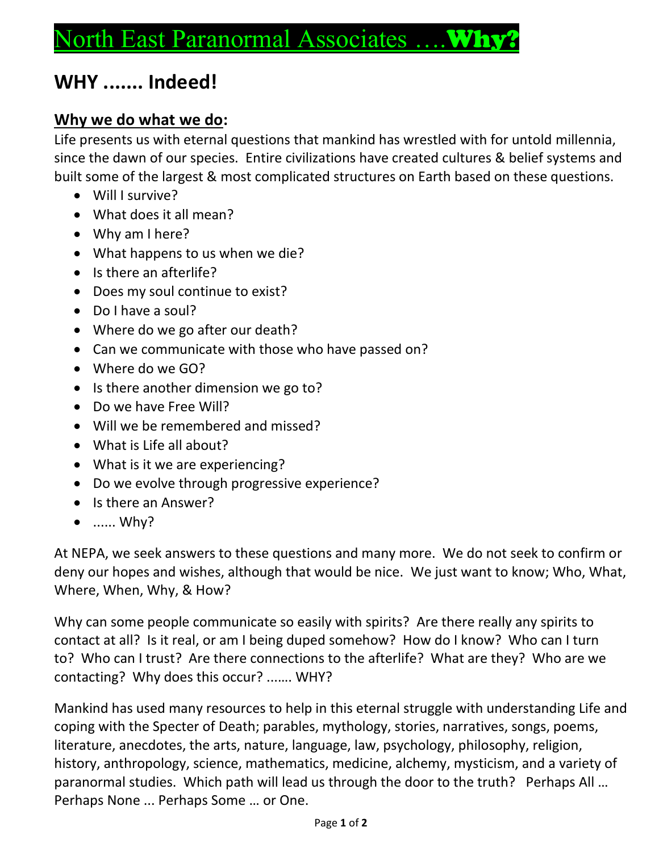## North East Paranormal Associates .... W.

## **WHY ....... Indeed!**

## **Why we do what we do:**

Life presents us with eternal questions that mankind has wrestled with for untold millennia, since the dawn of our species. Entire civilizations have created cultures & belief systems and built some of the largest & most complicated structures on Earth based on these questions.

- Will I survive?
- What does it all mean?
- Why am I here?
- What happens to us when we die?
- Is there an afterlife?
- Does my soul continue to exist?
- Do I have a soul?
- Where do we go after our death?
- Can we communicate with those who have passed on?
- Where do we GO?
- Is there another dimension we go to?
- Do we have Free Will?
- Will we be remembered and missed?
- What is Life all about?
- What is it we are experiencing?
- Do we evolve through progressive experience?
- Is there an Answer?
- ...... Why?

At NEPA, we seek answers to these questions and many more. We do not seek to confirm or deny our hopes and wishes, although that would be nice. We just want to know; Who, What, Where, When, Why, & How?

Why can some people communicate so easily with spirits? Are there really any spirits to contact at all? Is it real, or am I being duped somehow? How do I know? Who can I turn to? Who can I trust? Are there connections to the afterlife? What are they? Who are we contacting? Why does this occur? ...…. WHY?

Mankind has used many resources to help in this eternal struggle with understanding Life and coping with the Specter of Death; parables, mythology, stories, narratives, songs, poems, literature, anecdotes, the arts, nature, language, law, psychology, philosophy, religion, history, anthropology, science, mathematics, medicine, alchemy, mysticism, and a variety of paranormal studies. Which path will lead us through the door to the truth? Perhaps All … Perhaps None ... Perhaps Some … or One.